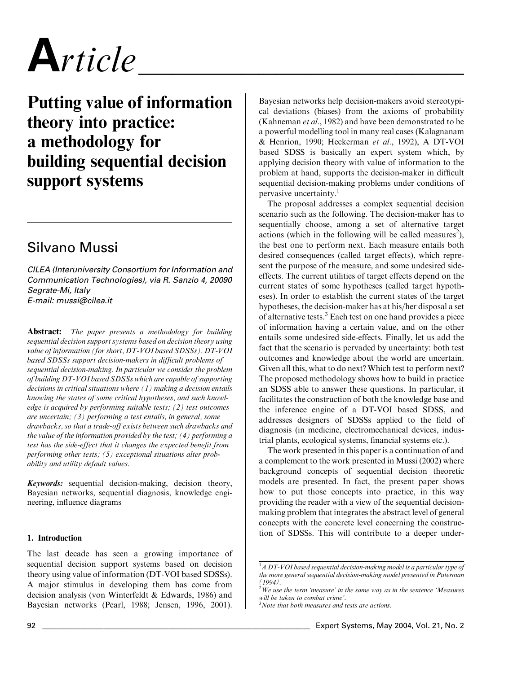$Article$ 

Putting value of information theory into practice: a methodology for building sequential decision support systems

# Silvano Mussi

*CILEA (Interuniversity Consortium for Information and Communication Technologies), via R. Sanzio 4, 20090 Segrate-Mi, Italy E-mail: mussi@cilea.it*

Abstract: The paper presents a methodology for building sequential decision support systems based on decision theory using value of information (for short, DT-VOI based SDSSs). DT-VOI based SDSSs support decision-makers in difficult problems of sequential decision-making. In particular we consider the problem of building DT-VOI based SDSSs which are capable of supporting decisions in critical situations where  $(1)$  making a decision entails knowing the states of some critical hypotheses, and such knowledge is acquired by performing suitable tests; (2) test outcomes are uncertain; (3) performing a test entails, in general, some drawbacks, so that a trade-off exists between such drawbacks and the value of the information provided by the test; (4) performing a test has the side-effect that it changes the expected benefit from performing other tests; (5) exceptional situations alter probability and utility default values.

Keywords: sequential decision-making, decision theory, Bayesian networks, sequential diagnosis, knowledge engineering, influence diagrams

## 1. Introduction

The last decade has seen a growing importance of sequential decision support systems based on decision theory using value of information (DT-VOI based SDSSs). A major stimulus in developing them has come from decision analysis (von Winterfeldt & Edwards, 1986) and Bayesian networks (Pearl, 1988; Jensen, 1996, 2001).

Bayesian networks help decision-makers avoid stereotypical deviations (biases) from the axioms of probability (Kahneman et al., 1982) and have been demonstrated to be a powerful modelling tool in many real cases (Kalagnanam & Henrion, 1990; Heckerman et al., 1992), A DT-VOI based SDSS is basically an expert system which, by applying decision theory with value of information to the problem at hand, supports the decision-maker in difficult sequential decision-making problems under conditions of pervasive uncertainty.1

The proposal addresses a complex sequential decision scenario such as the following. The decision-maker has to sequentially choose, among a set of alternative target actions (which in the following will be called measures<sup>2</sup>), the best one to perform next. Each measure entails both desired consequences (called target effects), which represent the purpose of the measure, and some undesired sideeffects. The current utilities of target effects depend on the current states of some hypotheses (called target hypotheses). In order to establish the current states of the target hypotheses, the decision-maker has at his/her disposal a set of alternative tests.3 Each test on one hand provides a piece of information having a certain value, and on the other entails some undesired side-effects. Finally, let us add the fact that the scenario is pervaded by uncertainty: both test outcomes and knowledge about the world are uncertain. Given all this, what to do next? Which test to perform next? The proposed methodology shows how to build in practice an SDSS able to answer these questions. In particular, it facilitates the construction of both the knowledge base and the inference engine of a DT-VOI based SDSS, and addresses designers of SDSSs applied to the field of diagnosis (in medicine, electromechanical devices, industrial plants, ecological systems, financial systems etc.).

The work presented in this paper is a continuation of and a complement to the work presented in Mussi (2002) where background concepts of sequential decision theoretic models are presented. In fact, the present paper shows how to put those concepts into practice, in this way providing the reader with a view of the sequential decisionmaking problem that integrates the abstract level of general concepts with the concrete level concerning the construction of SDSSs. This will contribute to a deeper under-

 $1<sup>1</sup>A$  DT-VOI based sequential decision-making model is a particular type of the more general sequential decision-making model presented in Puterman  $(1994)$ 

 $2$ We use the term 'measure' in the same way as in the sentence 'Measures' will be taken to combat crime'.

 $3$ Note that both measures and tests are actions.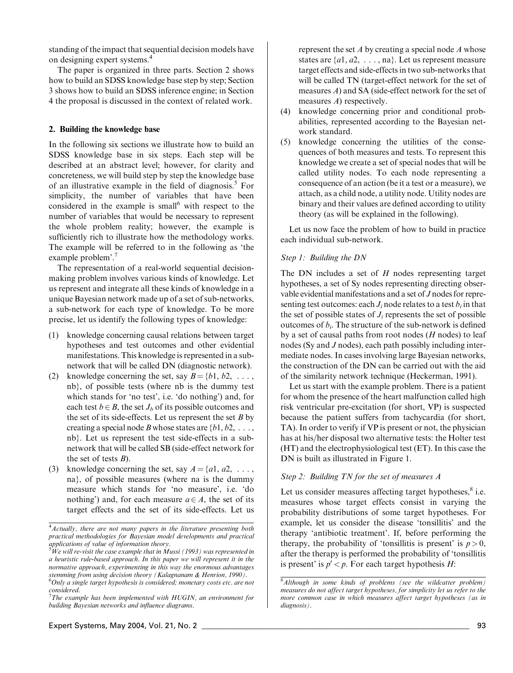standing of the impact that sequential decision models have on designing expert systems.4

The paper is organized in three parts. Section 2 shows how to build an SDSS knowledge base step by step; Section 3 shows how to build an SDSS inference engine; in Section 4 the proposal is discussed in the context of related work.

## 2. Building the knowledge base

In the following six sections we illustrate how to build an SDSS knowledge base in six steps. Each step will be described at an abstract level; however, for clarity and concreteness, we will build step by step the knowledge base of an illustrative example in the field of diagnosis.<sup>5</sup> For simplicity, the number of variables that have been considered in the example is small $<sup>6</sup>$  with respect to the</sup> number of variables that would be necessary to represent the whole problem reality; however, the example is sufficiently rich to illustrate how the methodology works. The example will be referred to in the following as 'the example problem'.<sup>7</sup>

The representation of a real-world sequential decisionmaking problem involves various kinds of knowledge. Let us represent and integrate all these kinds of knowledge in a unique Bayesian network made up of a set of sub-networks, a sub-network for each type of knowledge. To be more precise, let us identify the following types of knowledge:

- (1) knowledge concerning causal relations between target hypotheses and test outcomes and other evidential manifestations. This knowledge is represented in a subnetwork that will be called DN (diagnostic network).
- (2) knowledge concerning the set, say  $B = \{b_1, b_2, \ldots, b_n\}$ nb}, of possible tests (where nb is the dummy test which stands for 'no test', i.e. 'do nothing') and, for each test  $b \in B$ , the set  $J_b$  of its possible outcomes and the set of its side-effects. Let us represent the set  $B$  by creating a special node B whose states are  $\{b_1, b_2, \ldots,$ nb}. Let us represent the test side-effects in a subnetwork that will be called SB (side-effect network for the set of tests  $B$ ).
- (3) knowledge concerning the set, say  $A = \{a1, a2, \ldots, a\}$ na}, of possible measures (where na is the dummy measure which stands for 'no measure', i.e. 'do nothing') and, for each measure  $a \in A$ , the set of its target effects and the set of its side-effects. Let us

represent the set  $A$  by creating a special node  $A$  whose states are  $\{a1, a2, \ldots, na\}$ . Let us represent measure target effects and side-effects in two sub-networks that will be called TN (target-effect network for the set of measures A) and SA (side-effect network for the set of measures A) respectively.

- (4) knowledge concerning prior and conditional probabilities, represented according to the Bayesian network standard.
- (5) knowledge concerning the utilities of the consequences of both measures and tests. To represent this knowledge we create a set of special nodes that will be called utility nodes. To each node representing a consequence of an action (be it a test or a measure), we attach, as a child node, a utility node. Utility nodes are binary and their values are defined according to utility theory (as will be explained in the following).

Let us now face the problem of how to build in practice each individual sub-network.

## Step 1: Building the DN

The DN includes a set of  $H$  nodes representing target hypotheses, a set of Sy nodes representing directing observable evidential manifestations and a set of J nodes for representing test outcomes: each  $J_i$  node relates to a test  $b_i$  in that the set of possible states of  $J_i$  represents the set of possible outcomes of  $b_i$ . The structure of the sub-network is defined by a set of causal paths from root nodes  $(H \text{ nodes})$  to leaf nodes (Sy and J nodes), each path possibly including intermediate nodes. In cases involving large Bayesian networks, the construction of the DN can be carried out with the aid of the similarity network technique (Heckerman, 1991).

Let us start with the example problem. There is a patient for whom the presence of the heart malfunction called high risk ventricular pre-excitation (for short, VP) is suspected because the patient suffers from tachycardia (for short, TA). In order to verify if VP is present or not, the physician has at his/her disposal two alternative tests: the Holter test (HT) and the electrophysiological test (ET). In this case the DN is built as illustrated in Figure 1.

#### Step 2: Building TN for the set of measures A

Let us consider measures affecting target hypotheses, $8$  i.e. measures whose target effects consist in varying the probability distributions of some target hypotheses. For example, let us consider the disease 'tonsillitis' and the therapy 'antibiotic treatment'. If, before performing the therapy, the probability of 'tonsillitis is present' is  $p > 0$ , after the therapy is performed the probability of 'tonsillitis is present' is  $p' < p$ . For each target hypothesis H:

<sup>&</sup>lt;sup>4</sup> Actually, there are not many papers in the literature presenting both practical methodologies for Bayesian model developments and practical

applications of value of information theory.<br><sup>5</sup>We will re-visit the case example that in Mussi (1993) was represented in a heuristic rule-based approach. In this paper we will represent it in the normative approach, experimenting in this way the enormous advantages stemming from using decision theory (Kalagnanam & Henrion, 1990). 6 Only a single target hypothesis is considered; monetary costs etc. are not

considered.

 $7$ The example has been implemented with HUGIN, an environment for building Bayesian networks and influence diagrams.

<sup>&</sup>lt;sup>8</sup> Although in some kinds of problems (see the wildcatter problem) measures do not affect target hypotheses, for simplicity let us refer to the more common case in which measures affect target hypotheses (as in diagnosis).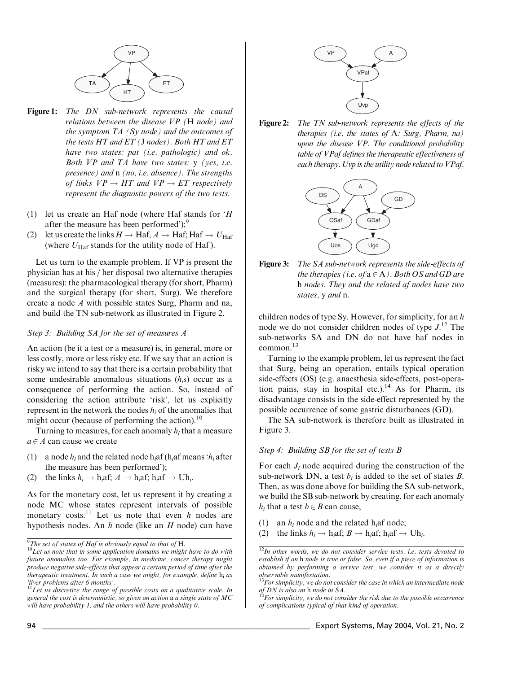

- Figure 1: The DN sub-network represents the causal relations between the disease VP (H node) and the symptom  $TA$  (Sy node) and the outcomes of the tests  $HT$  and  $ET$  (J nodes). Both  $HT$  and  $ET$ have two states: pat (i.e. pathologic) and ok. Both  $VP$  and  $TA$  have two states:  $y$  (yes, i.e. presence) and n (no, i.e. absence). The strengths of links  $VP \rightarrow HT$  and  $VP \rightarrow ET$  respectively represent the diagnostic powers of the two tests.
- (1) let us create an Haf node (where Haf stands for 'H after the measure has been performed'); $9$
- (2) let us create the links  $H \to \text{Haf}, A \to \text{Haf}$ ; Haf  $\to U_{\text{Haf}}$ (where  $U_{\text{Haf}}$  stands for the utility node of Haf).

Let us turn to the example problem. If VP is present the physician has at his / her disposal two alternative therapies (measures): the pharmacological therapy (for short, Pharm) and the surgical therapy (for short, Surg). We therefore create a node A with possible states Surg, Pharm and na, and build the TN sub-network as illustrated in Figure 2.

#### Step 3: Building SA for the set of measures A

An action (be it a test or a measure) is, in general, more or less costly, more or less risky etc. If we say that an action is risky we intend to say that there is a certain probability that some undesirable anomalous situations  $(h<sub>i</sub>s)$  occur as a consequence of performing the action. So, instead of considering the action attribute 'risk', let us explicitly represent in the network the nodes  $h_i$  of the anomalies that might occur (because of performing the action). $^{10}$ 

Turning to measures, for each anomaly  $h_i$  that a measure  $a \in A$  can cause we create

- (1) a node  $h_i$  and the related node h<sub>i</sub>af (h<sub>i</sub>af means ' $h_i$  after the measure has been performed');
- (2) the links  $h_i \rightarrow h_i$ af;  $A \rightarrow h_i$ af; h<sub>i</sub>af  $\rightarrow Uh_i$ .

As for the monetary cost, let us represent it by creating a node MC whose states represent intervals of possible monetary costs.<sup>11</sup> Let us note that even h nodes are hypothesis nodes. An  $h$  node (like an  $H$  node) can have



Figure 2: The TN sub-network represents the effects of the therapies (i.e. the states of A: Surg, Pharm, na) upon the disease VP. The conditional probability table of VPaf defines the therapeutic effectiveness of each therapy. Uvp is the utility node related to VPaf.





children nodes of type Sy. However, for simplicity, for an h node we do not consider children nodes of type  $J<sup>12</sup>$ . The sub-networks SA and DN do not have haf nodes in common.13

Turning to the example problem, let us represent the fact that Surg, being an operation, entails typical operation side-effects (OS) (e.g. anaesthesia side-effects, post-operation pains, stay in hospital etc.).<sup>14</sup> As for Pharm, its disadvantage consists in the side-effect represented by the possible occurrence of some gastric disturbances (GD).

The SA sub-network is therefore built as illustrated in Figure 3.

#### Step 4: Building SB for the set of tests B

For each  $J_i$  node acquired during the construction of the sub-network DN, a test  $b_i$  is added to the set of states B. Then, as was done above for building the SA sub-network, we build the SB sub-network by creating, for each anomaly  $h_i$  that a test  $b \in B$  can cause,

- (1) an  $h_i$  node and the related h<sub>i</sub>af node;
- (2) the links  $h_i \rightarrow h_i$ af;  $B \rightarrow h_i$ af; h<sub>i</sub>af  $\rightarrow Uh_i$ .

 $\overline{^{9}$ The set of states of Haf is obviously equal to that of H.

 $10$ Let us note that in some application domains we might have to do with future anomalies too. For example, in medicine, cancer therapy might produce negative side-effects that appear a certain period of time after the therapeutic treatment. In such a case we might, for example, define  $h_i$  as 'liver problems after 6 months'.

 $11$ Let us discretize the range of possible costs on a qualitative scale. In general the cost is deterministic, so given an action a a single state of MC will have probability 1, and the others will have probability 0.

 $12$ In other words, we do not consider service tests, i.e. tests devoted to establish if an h node is true or false. So, even if a piece of information is obtained by performing a service test, we consider it as a directly observable manifestation.

<sup>&</sup>lt;sup>13</sup>For simplicity, we do not consider the case in which an intermediate node<br>of DN is also an h node in SA.<br><sup>14</sup>Een simplicies

 $^4$ For simplicity, we do not consider the risk due to the possible occurrence of complications typical of that kind of operation.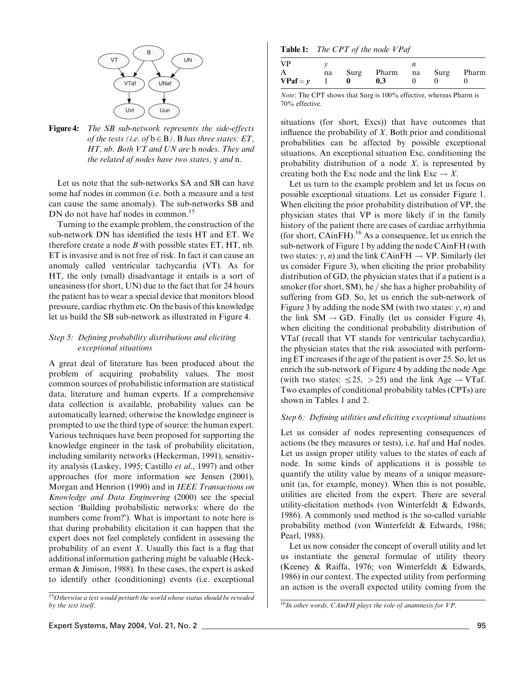

Figure 4: The SB sub-network represents the side-effects of the tests (i.e. of  $b \in B$ ). B has three states: ET, HT, nb. Both VT and UN are h nodes. They and the related af nodes have two states, y and n.

Let us note that the sub-networks SA and SB can have some haf nodes in common (i.e. both a measure and a test can cause the same anomaly). The sub-networks SB and DN do not have haf nodes in common.<sup>15</sup>

Turning to the example problem, the construction of the sub-network DN has identified the tests HT and ET. We therefore create a node  $B$  with possible states ET, HT, nb. ET is invasive and is not free of risk. In fact it can cause an anomaly called ventricular tachycardia (VT). As for HT, the only (small) disadvantage it entails is a sort of uneasiness (for short, UN) due to the fact that for 24 hours the patient has to wear a special device that monitors blood pressure, cardiac rhythm etc. On the basis of this knowledge let us build the SB sub-network as illustrated in Figure 4.

## Step 5: Defining probability distributions and eliciting exceptional situations

A great deal of literature has been produced about the problem of acquiring probability values. The most common sources of probabilistic information are statistical data, literature and human experts. If a comprehensive data collection is available, probability values can be automatically learned; otherwise the knowledge engineer is prompted to use the third type of source: the human expert. Various techniques have been proposed for supporting the knowledge engineer in the task of probability elicitation, including similarity networks (Heckerman, 1991), sensitivity analysis (Laskey, 1995; Castillo et al., 1997) and other approaches (for more information see Jensen (2001), Morgan and Henrion (1990) and in IEEE Transactions on Knowledge and Data Engineering (2000) see the special section 'Building probabilistic networks: where do the numbers come from?'). What is important to note here is that during probability elicitation it can happen that the expert does not feel completely confident in assessing the probability of an event  $X$ . Usually this fact is a flag that additional information gathering might be valuable (Heckerman & Jimison, 1988). In these cases, the expert is asked to identify other (conditioning) events (i.e. exceptional

Table 1: The CPT of the node VPaf

| <b>VP</b>       |                |                      |                 |      |       |
|-----------------|----------------|----------------------|-----------------|------|-------|
| A<br>$VPaf = y$ | na<br>$\sim 1$ | Surg<br>$\mathbf{0}$ | Pharm na<br>0.3 | Surg | Pharm |

Note: The CPT shows that Surg is 100% effective, whereas Pharm is 70% effective.

situations (for short, Excs)) that have outcomes that influence the probability of  $X$ . Both prior and conditional probabilities can be affected by possible exceptional situations. An exceptional situation Exc, conditioning the probability distribution of a node  $X$ , is represented by creating both the Exc node and the link Exc  $\rightarrow X$ .

Let us turn to the example problem and let us focus on possible exceptional situations. Let us consider Figure 1. When eliciting the prior probability distribution of VP, the physician states that VP is more likely if in the family history of the patient there are cases of cardiac arrhythmia (for short,  $C_A$ in FH).<sup>16</sup> As a consequence, let us enrich the sub-network of Figure 1 by adding the node CAinFH (with two states: y, n) and the link CAinFH  $\rightarrow$  VP. Similarly (let us consider Figure 3), when eliciting the prior probability distribution of GD, the physician states that if a patient is a smoker (for short, SM), he  $/$  she has a higher probability of suffering from GD. So, let us enrich the sub-network of Figure 3 by adding the node SM (with two states:  $y, n$ ) and the link  $SM \rightarrow GD$ . Finally (let us consider Figure 4), when eliciting the conditional probability distribution of VTaf (recall that VT stands for ventricular tachycardia), the physician states that the risk associated with performing ET increases if the age of the patient is over 25. So, let us enrich the sub-network of Figure 4 by adding the node Age (with two states:  $\leq$ 25,  $>$  25) and the link Age  $\rightarrow$  VTaf. Two examples of conditional probability tables (CPTs) are shown in Tables 1 and 2.

#### Step 6: Defining utilities and eliciting exceptional situations

Let us consider af nodes representing consequences of actions (be they measures or tests), i.e. haf and Haf nodes. Let us assign proper utility values to the states of each af node. In some kinds of applications it is possible to quantify the utility value by means of a unique measureunit (as, for example, money). When this is not possible, utilities are elicited from the expert. There are several utility-elicitation methods (von Winterfeldt & Edwards, 1986). A commonly used method is the so-called variable probability method (von Winterfeldt & Edwards, 1986; Pearl, 1988).

Let us now consider the concept of overall utility and let us instantiate the general formulae of utility theory (Keeney & Raiffa, 1976; von Winterfeldt & Edwards, 1986) in our context. The expected utility from performing an action is the overall expected utility coming from the

 $\frac{15}{15}$ Otherwise a test would perturb the world whose status should be revealed by the test itself.  $\frac{16}{16}$  by the test itself.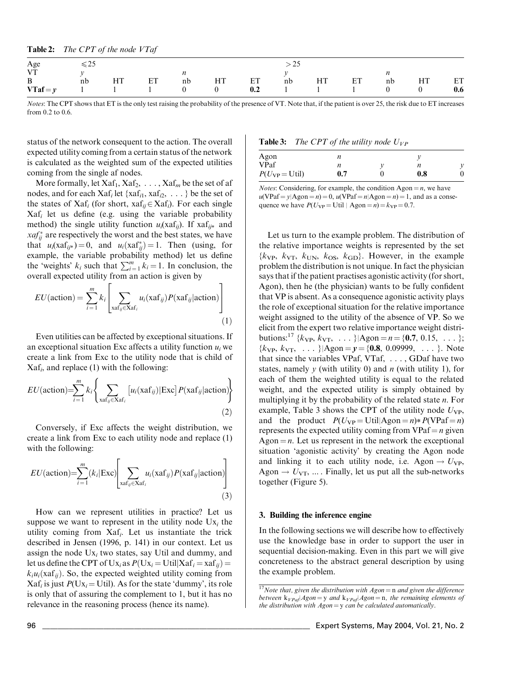| <b>Table 2:</b> The CPT of the node VTaf |  |  |  |  |
|------------------------------------------|--|--|--|--|
|------------------------------------------|--|--|--|--|

| Age                                   |    |    |    |          |  |       |    |    |    |     |
|---------------------------------------|----|----|----|----------|--|-------|----|----|----|-----|
| <b>VT</b>                             |    |    |    |          |  |       |    |    |    |     |
| $\mathbf{B}$                          | nb | HT | ET | nb HT ET |  | nb HT | ET | nb | HT | ET  |
| $V T a f = y$ 1 1 1 0 0 0.2 1 1 1 0 0 |    |    |    |          |  |       |    |    |    | 0.6 |

Notes: The CPT shows that ET is the only test raising the probability of the presence of VT. Note that, if the patient is over 25, the risk due to ET increases from 0.2 to 0.6.

status of the network consequent to the action. The overall expected utility coming from a certain status of the network is calculated as the weighted sum of the expected utilities coming from the single af nodes.

More formally, let  $Xaf_1, Xaf_2, \ldots, Xaf_m$  be the set of af nodes, and for each Xaf<sub>i</sub> let  $\{xaf_{i1}, xaf_{i2}, \ldots\}$  be the set of the states of  $Xaf_i$  (for short,  $xaf_{ii} \in Xaf_i$ ). For each single  $Xaf_i$  let us define (e.g. using the variable probability method) the single utility function  $u_i(xaf_{ii})$ . If  $xaf_{ii*}$  and  $xaf_{ij}^*$  are respectively the worst and the best states, we have that  $u_i(xaf_{ij*})=0$ , and  $u_i(xaf_{ij}^*)=1$ . Then (using, for example, the variable probability method) let us define the 'weights'  $k_i$  such that  $\sum_{i=1}^{m} k_i = 1$ . In conclusion, the overall expected utility from an action is given by

$$
EU(\text{action}) = \sum_{i=1}^{m} k_i \left[ \sum_{\text{xaf}_{ij} \in \text{Xaf}_{i}} u_i(\text{xaf}_{ij}) P(\text{xaf}_{ij} | \text{action}) \right]
$$
(1)

Even utilities can be affected by exceptional situations. If an exceptional situation Exc affects a utility function  $u_i$  we create a link from Exc to the utility node that is child of  $Xaf_i$ , and replace (1) with the following:

$$
EU(\text{action}) = \sum_{i=1}^{m} k_i \left\{ \sum_{\text{xaf}_{ij} \in \text{Xaf}_{i}} [u_i(\text{xaf}_{ij}) | \text{Exc}] P(\text{xaf}_{ij} | \text{action}) \right\}
$$
(2)

Conversely, if Exc affects the weight distribution, we create a link from Exc to each utility node and replace (1) with the following:

$$
EU(\text{action}) = \sum_{i=1}^{m} (k_i | \text{Exc}) \left[ \sum_{\text{xaf}_{ij} \in \text{Xaf}_i} u_i(\text{xaf}_{ij}) P(\text{xaf}_{ij} | \text{action}) \right]
$$
(3)

How can we represent utilities in practice? Let us suppose we want to represent in the utility node  $Ux_i$  the utility coming from  $Xaf_i$ . Let us instantiate the trick described in Jensen (1996, p. 141) in our context. Let us assign the node  $Ux_i$  two states, say Util and dummy, and let us define the CPT of Ux<sub>i</sub> as  $P(Ux_i = U^{\text{til}}|Xaf_i = xaf_{ii}) =$  $k_i u_i(x \text{af}_{ii})$ . So, the expected weighted utility coming from Xaf<sub>i</sub> is just  $P(Ux_i = Uti)$ . As for the state 'dummy', its role is only that of assuring the complement to 1, but it has no relevance in the reasoning process (hence its name).

**Table 3:** The CPT of the utility node  $U_{VP}$ 

| Agon<br>VPaf        |     |                    |  |
|---------------------|-----|--------------------|--|
| $P(U_{VP} = U$ til) | 0.7 | $\boldsymbol{0.8}$ |  |
|                     |     |                    |  |

*Notes*: Considering, for example, the condition Agon  $=n$ , we have  $u(VPaf = y|Agon = n) = 0$ ,  $u(VPaf = n|Agon = n) = 1$ , and as a consequence we have  $P(U_{VP} = \text{Util} | \text{Agon} = n) = k_{VP} = 0.7$ .

Let us turn to the example problem. The distribution of the relative importance weights is represented by the set  ${k_{VP}, k_{VT}, k_{UN}, k_{OS}, k_{GD}}$ . However, in the example problem the distribution is not unique. In fact the physician says that if the patient practises agonistic activity (for short, Agon), then he (the physician) wants to be fully confident that VP is absent. As a consequence agonistic activity plays the role of exceptional situation for the relative importance weight assigned to the utility of the absence of VP. So we elicit from the expert two relative importance weight distributions:<sup>17</sup> { $k_{VP}$ ,  $k_{VT}$ , ...}|Agon = n = {0.7, 0.15, ...};  ${k_{VP}, k_{VT}, \ldots}$ |Agon =  $y = \{0.8, 0.09999, \ldots \}$ . Note that since the variables VPaf, VTaf, . . . , GDaf have two states, namely  $\nu$  (with utility 0) and *n* (with utility 1), for each of them the weighted utility is equal to the related weight, and the expected utility is simply obtained by multiplying it by the probability of the related state  $n$ . For example, Table 3 shows the CPT of the utility node  $U_{VP}$ , and the product  $P(U_{VP} = \text{Util}|\text{Agon} = n) * P(\text{VPaf} = n)$ represents the expected utility coming from  $VPaf = n$  given Agon  $=n$ . Let us represent in the network the exceptional situation 'agonistic activity' by creating the Agon node and linking it to each utility node, i.e. Agon  $\rightarrow U_{VP}$ , Agon  $\rightarrow$  U<sub>VT</sub>, ... Finally, let us put all the sub-networks together (Figure 5).

#### 3. Building the inference engine

In the following sections we will describe how to effectively use the knowledge base in order to support the user in sequential decision-making. Even in this part we will give concreteness to the abstract general description by using the example problem.

<sup>&</sup>lt;sup>17</sup>Note that, given the distribution with  $A$ gon = n and given the difference between  $k_{VPaf}|Agon = y$  and  $k_{VPaf}|Agon = n$ , the remaining elements of the distribution with  $A$ gon  $=$  y can be calculated automatically.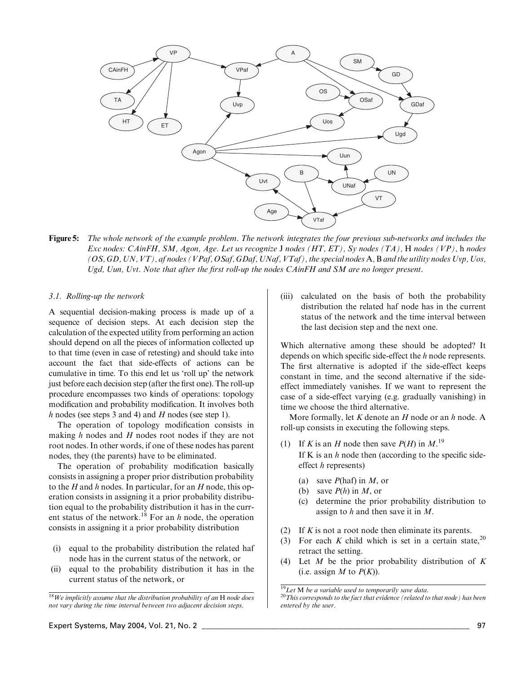

Figure 5: The whole network of the example problem. The network integrates the four previous sub-networks and includes the Exc nodes: CAinFH, SM, Agon, Age. Let us recognize J nodes (HT, ET), Sy nodes (TA), H nodes (VP), h nodes  $(OS, GD, UN, VT)$ , af nodes (VPaf, OSaf, GDaf, UNaf, VTaf), the special nodes A, B and the utility nodes Uvp, Uos, Ugd, Uun, Uvt. Note that after the first roll-up the nodes CAinFH and SM are no longer present.

#### 3.1. Rolling-up the network

A sequential decision-making process is made up of a sequence of decision steps. At each decision step the calculation of the expected utility from performing an action should depend on all the pieces of information collected up to that time (even in case of retesting) and should take into account the fact that side-effects of actions can be cumulative in time. To this end let us 'roll up' the network just before each decision step (after the first one). The roll-up procedure encompasses two kinds of operations: topology modification and probability modification. It involves both h nodes (see steps 3 and 4) and H nodes (see step 1).

The operation of topology modification consists in making  $h$  nodes and  $H$  nodes root nodes if they are not root nodes. In other words, if one of these nodes has parent nodes, they (the parents) have to be eliminated.

The operation of probability modification basically consists in assigning a proper prior distribution probability to the H and h nodes. In particular, for an H node, this operation consists in assigning it a prior probability distribution equal to the probability distribution it has in the current status of the network.<sup>18</sup> For an h node, the operation consists in assigning it a prior probability distribution

- (i) equal to the probability distribution the related haf node has in the current status of the network, or
- (ii) equal to the probability distribution it has in the current status of the network, or

(iii) calculated on the basis of both the probability distribution the related haf node has in the current status of the network and the time interval between the last decision step and the next one.

Which alternative among these should be adopted? It depends on which specific side-effect the h node represents. The first alternative is adopted if the side-effect keeps constant in time, and the second alternative if the sideeffect immediately vanishes. If we want to represent the case of a side-effect varying (e.g. gradually vanishing) in time we choose the third alternative.

More formally, let K denote an H node or an  $h$  node. A roll-up consists in executing the following steps.

- (1) If K is an H node then save  $P(H)$  in M.<sup>19</sup> If K is an  $h$  node then (according to the specific sideeffect h represents)
	- (a) save  $P(\text{haf})$  in M, or
	- (b) save  $P(h)$  in M, or
	- (c) determine the prior probability distribution to assign to h and then save it in M.
- (2) If  $K$  is not a root node then eliminate its parents.
- (3) For each K child which is set in a certain state.<sup>20</sup> retract the setting.
- (4) Let  $M$  be the prior probability distribution of  $K$ (i.e. assign  $M$  to  $P(K)$ ).

 $18$ <sup>18</sup>We implicitly assume that the distribution probability of an H node does not vary during the time interval between two adjacent decision steps.

 $\frac{19}{2}$ Let **M** be a variable used to temporarily save data.<br><sup>20</sup>This corresponds to the fact that evidence (related to that node) has been entered by the user.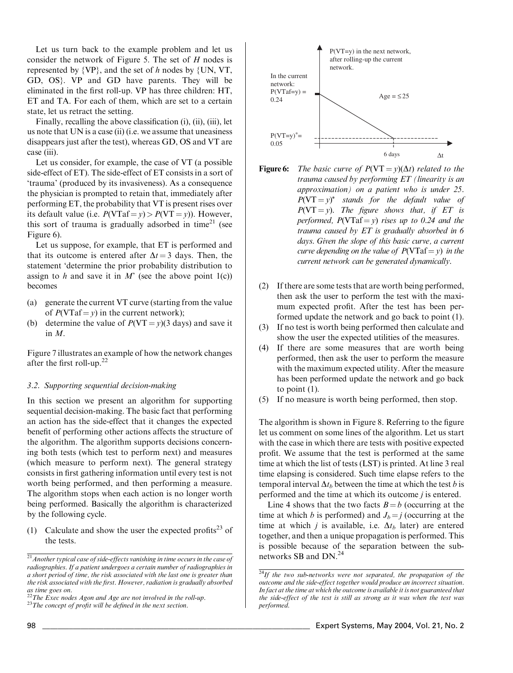Let us turn back to the example problem and let us consider the network of Figure 5. The set of  $H$  nodes is represented by  $\{VP\}$ , and the set of h nodes by  $\{UN, VT,$ GD, OS}. VP and GD have parents. They will be eliminated in the first roll-up. VP has three children: HT, ET and TA. For each of them, which are set to a certain state, let us retract the setting.

Finally, recalling the above classification (i), (ii), (iii), let us note that UN is a case (ii) (i.e. we assume that uneasiness disappears just after the test), whereas GD, OS and VT are case (iii).

Let us consider, for example, the case of VT (a possible side-effect of ET). The side-effect of ET consists in a sort of 'trauma' (produced by its invasiveness). As a consequence the physician is prompted to retain that, immediately after performing ET, the probability that VT is present rises over its default value (i.e.  $P(VTaf = y) > P(VT = y)$ ). However, this sort of trauma is gradually adsorbed in time<sup>21</sup> (see Figure 6).

Let us suppose, for example, that ET is performed and that its outcome is entered after  $\Delta t = 3$  days. Then, the statement 'determine the prior probability distribution to assign to h and save it in M' (see the above point  $1(c)$ ) becomes

- (a) generate the current VT curve (starting from the value of  $P(VTaf = y)$  in the current network);
- (b) determine the value of  $P(VT = y)(3 \text{ days})$  and save it in M.

Figure 7 illustrates an example of how the network changes after the first roll-up.<sup>22</sup>

## 3.2. Supporting sequential decision-making

In this section we present an algorithm for supporting sequential decision-making. The basic fact that performing an action has the side-effect that it changes the expected benefit of performing other actions affects the structure of the algorithm. The algorithm supports decisions concerning both tests (which test to perform next) and measures (which measure to perform next). The general strategy consists in first gathering information until every test is not worth being performed, and then performing a measure. The algorithm stops when each action is no longer worth being performed. Basically the algorithm is characterized by the following cycle.

(1) Calculate and show the user the expected profits<sup>23</sup> of the tests.



- **Figure 6:** The basic curve of  $P(VT = y)(\Delta t)$  related to the trauma caused by performing ET (linearity is an approximation) on a patient who is under 25.  $P(VT = y)^*$  stands for the default value of  $P(VT = y)$ . The figure shows that, if ET is performed,  $P(VTaf = y)$  rises up to 0.24 and the trauma caused by ET is gradually absorbed in 6 days. Given the slope of this basic curve, a current curve depending on the value of  $P(VTaf = y)$  in the current network can be generated dynamically.
- (2) If there are some tests that are worth being performed, then ask the user to perform the test with the maximum expected profit. After the test has been performed update the network and go back to point (1).
- (3) If no test is worth being performed then calculate and show the user the expected utilities of the measures.
- (4) If there are some measures that are worth being performed, then ask the user to perform the measure with the maximum expected utility. After the measure has been performed update the network and go back to point  $(1)$ .
- (5) If no measure is worth being performed, then stop.

The algorithm is shown in Figure 8. Referring to the figure let us comment on some lines of the algorithm. Let us start with the case in which there are tests with positive expected profit. We assume that the test is performed at the same time at which the list of tests (LST) is printed. At line 3 real time elapsing is considered. Such time elapse refers to the temporal interval  $\Delta t_b$  between the time at which the test b is performed and the time at which its outcome j is entered.

Line 4 shows that the two facts  $B = b$  (occurring at the time at which b is performed) and  $J<sub>b</sub> = i$  (occurring at the time at which j is available, i.e.  $\Delta t_b$  later) are entered together, and then a unique propagation is performed. This is possible because of the separation between the subnetworks SB and DN.24

 $21$ Another typical case of side-effects vanishing in time occurs in the case of radiographies. If a patient undergoes a certain number of radiographies in a short period of time, the risk associated with the last one is greater than the risk associated with the first. However, radiation is gradually absorbed as time goes on.<br><sup>22</sup>The Exec nodes Agon and Age are not involved in the roll-up.

 $23$ The concept of profit will be defined in the next section.

 $\frac{1}{24}$ If the two sub-networks were not separated, the propagation of the outcome and the side-effect together would produce an incorrect situation. In fact at the time at which the outcome is available it is not guaranteed that the side-effect of the test is still as strong as it was when the test was performed.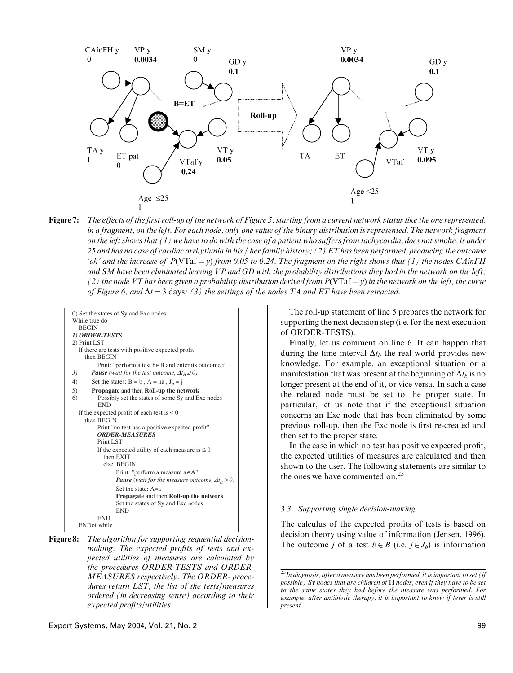

Figure 7: The effects of the first roll-up of the network of Figure 5, starting from a current network status like the one represented, in a fragment, on the left. For each node, only one value of the binary distribution is represented. The network fragment on the left shows that  $(1)$  we have to do with the case of a patient who suffers from tachycardia, does not smoke, is under 25 and has no case of cardiac arrhythmia in his  $/$  her family history; (2) ET has been performed, producing the outcome 'ok' and the increase of  $P(VTa f = y)$  from 0.05 to 0.24. The fragment on the right shows that (1) the nodes CAinFH and SM have been eliminated leaving VP and GD with the probability distributions they had in the network on the left; (2) the node VT has been given a probability distribution derived from  $P(VTaf = y)$  in the network on the left, the curve of Figure 6, and  $\Delta t = 3$  days; (3) the settings of the nodes TA and ET have been retracted.

| 0) Set the states of Sy and Exc nodes                               |  |  |  |  |  |  |
|---------------------------------------------------------------------|--|--|--|--|--|--|
| While true do                                                       |  |  |  |  |  |  |
| <b>BEGIN</b>                                                        |  |  |  |  |  |  |
| 1) ORDER-TESTS                                                      |  |  |  |  |  |  |
| 2) Print LST                                                        |  |  |  |  |  |  |
| If there are tests with positive expected profit                    |  |  |  |  |  |  |
| then BEGIN                                                          |  |  |  |  |  |  |
| Print: "perform a test b $\in$ B and enter its outcome j"           |  |  |  |  |  |  |
| <b>Pause</b> (wait for the test outcome, $\Delta t_h \ge 0$ )<br>3) |  |  |  |  |  |  |
| Set the states: $B = b$ , $A = na$ , $J_b = j$<br>4)                |  |  |  |  |  |  |
| 5)<br>Propagate and then Roll-up the network                        |  |  |  |  |  |  |
| Possibly set the states of some Sy and Exc nodes<br>6)              |  |  |  |  |  |  |
| <b>END</b>                                                          |  |  |  |  |  |  |
| If the expected profit of each test is $\leq 0$                     |  |  |  |  |  |  |
| then BEGIN                                                          |  |  |  |  |  |  |
| Print "no test has a positive expected profit"                      |  |  |  |  |  |  |
| <b>ORDER-MEASURES</b><br>Print LST                                  |  |  |  |  |  |  |
|                                                                     |  |  |  |  |  |  |
| If the expected utility of each measure is $\leq 0$                 |  |  |  |  |  |  |
| then EXIT<br>else BEGIN                                             |  |  |  |  |  |  |
|                                                                     |  |  |  |  |  |  |
| Print: "perform a measure $a \in A$ "                               |  |  |  |  |  |  |
| <b>Pause</b> (wait for the measure outcome, $\Delta t_a \ge 0$ )    |  |  |  |  |  |  |
| Set the state: $A=a$                                                |  |  |  |  |  |  |
| <b>Propagate</b> and then <b>Roll-up</b> the network                |  |  |  |  |  |  |
| Set the states of Sy and Exc nodes                                  |  |  |  |  |  |  |
| <b>END</b>                                                          |  |  |  |  |  |  |
| <b>END</b>                                                          |  |  |  |  |  |  |
| <b>END</b> of while                                                 |  |  |  |  |  |  |

Figure 8: The algorithm for supporting sequential decisionmaking. The expected profits of tests and expected utilities of measures are calculated by the procedures ORDER-TESTS and ORDER-MEASURES respectively. The ORDER- procedures return  $LST$ , the list of the tests/measures ordered (in decreasing sense) according to their  $expected\ profits/utilities.$ 

The roll-up statement of line 5 prepares the network for supporting the next decision step (i.e. for the next execution of ORDER-TESTS).

Finally, let us comment on line 6. It can happen that during the time interval  $\Delta t_b$  the real world provides new knowledge. For example, an exceptional situation or a manifestation that was present at the beginning of  $\Delta t_b$  is no longer present at the end of it, or vice versa. In such a case the related node must be set to the proper state. In particular, let us note that if the exceptional situation concerns an Exc node that has been eliminated by some previous roll-up, then the Exc node is first re-created and then set to the proper state.

In the case in which no test has positive expected profit, the expected utilities of measures are calculated and then shown to the user. The following statements are similar to the ones we have commented on.<sup>25</sup>

## 3.3. Supporting single decision-making

The calculus of the expected profits of tests is based on decision theory using value of information (Jensen, 1996). The outcome j of a test  $b \in B$  (i.e.  $j \in J_b$ ) is information

 $\frac{25}{25}$ In diagnosis, after a measure has been performed, it is important to set (if possible) Sy nodes that are children of H nodes, even if they have to be set to the same states they had before the measure was performed. For example, after antibiotic therapy, it is important to know if fever is still present.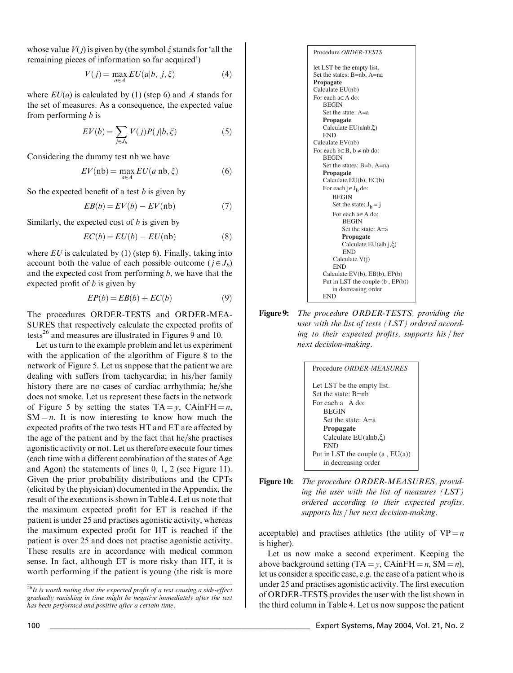whose value  $V(j)$  is given by (the symbol  $\xi$  stands for 'all the remaining pieces of information so far acquired')

$$
V(j) = \max_{a \in A} EU(a|b, j, \xi)
$$
 (4)

where  $EU(a)$  is calculated by (1) (step 6) and A stands for the set of measures. As a consequence, the expected value from performing  $b$  is

$$
EV(b) = \sum_{j \in J_b} V(j)P(j|b,\xi)
$$
 (5)

Considering the dummy test nb we have

$$
EV(\text{nb}) = \max_{a \in A} EU(a|\text{nb}, \xi) \tag{6}
$$

So the expected benefit of a test  $b$  is given by

$$
EB(b) = EV(b) - EV(nb)
$$
 (7)

Similarly, the expected cost of  $b$  is given by

$$
EC(b) = EU(b) - EU(nb)
$$
 (8)

where  $EU$  is calculated by (1) (step 6). Finally, taking into account both the value of each possible outcome ( $j \in J_b$ ) and the expected cost from performing  $b$ , we have that the expected profit of  $b$  is given by

$$
EP(b) = EB(b) + EC(b)
$$
\n(9)

The procedures ORDER-TESTS and ORDER-MEA-SURES that respectively calculate the expected profits of tests<sup>26</sup> and measures are illustrated in Figures 9 and 10.

Let us turn to the example problem and let us experiment with the application of the algorithm of Figure 8 to the network of Figure 5. Let us suppose that the patient we are dealing with suffers from tachycardia; in his/her family history there are no cases of cardiac arrhythmia; he/she does not smoke. Let us represent these facts in the network of Figure 5 by setting the states  $TA = y$ ,  $C AinFH = n$ ,  $SM = n$ . It is now interesting to know how much the expected profits of the two tests HT and ET are affected by the age of the patient and by the fact that he/she practises agonistic activity or not. Let us therefore execute four times (each time with a different combination of the states of Age and Agon) the statements of lines 0, 1, 2 (see Figure 11). Given the prior probability distributions and the CPTs (elicited by the physician) documented in the Appendix, the result of the executions is shown in Table 4. Let us note that the maximum expected profit for ET is reached if the patient is under 25 and practises agonistic activity, whereas the maximum expected profit for HT is reached if the patient is over 25 and does not practise agonistic activity. These results are in accordance with medical common sense. In fact, although ET is more risky than HT, it is worth performing if the patient is young (the risk is more



Figure 9: The procedure ORDER-TESTS, providing the user with the list of tests (LST) ordered according to their expected profits, supports his  $/$  her next decision-making.



Figure 10: The procedure ORDER-MEASURES, providing the user with the list of measures (LST) ordered according to their expected profits, supports his  $/$  her next decision-making.

acceptable) and practises athletics (the utility of  $VP = n$ is higher).

Let us now make a second experiment. Keeping the above background setting  $(TA = y, CAinFH = n, SM = n)$ , let us consider a specific case, e.g. the case of a patient who is under 25 and practises agonistic activity. The first execution of ORDER-TESTS provides the user with the list shown in the third column in Table 4. Let us now suppose the patient

 $\frac{26}{10}$  is worth noting that the expected profit of a test causing a side-effect gradually vanishing in time might be negative immediately after the test has been performed and positive after a certain time.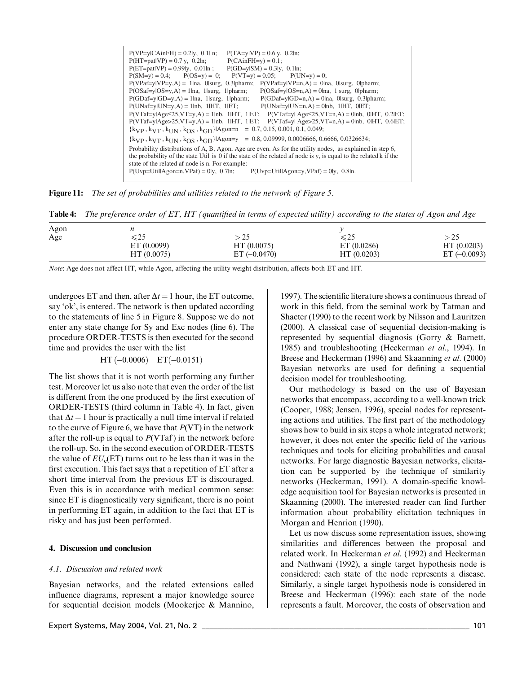| $P(VP=v CAinFH) = 0.2 v, 0.1  n;$<br>$P(HT = pat VP) = 0.7 y, 0.2 n;$ $P(CAinFH = y) = 0.1;$<br>$P(ET = pat VP) = 0.99 y, 0.01 n;$ $P(GD = y SM) = 0.3 y, 0.1 n;$ | $P(TA=vIVP) = 0.6$ ly, 0.2ln;<br>$P(SM=y) = 0.4$ ; $P(OS=y) = 0$ ; $P(VT=y) = 0.05$ ; $P(UN=y) = 0$ ;<br>$P(VPaf=y VP=y,A) = 1 na$ , Olsurg, O.3 pharm; $P(VPaf=y VP=n,A) = 0 na$ , Olsurg, Olpharm;<br>$P(OSaf=y OS=y,A) = 1 na, 1 surg, 1 pharm; P(OSaf=y OS=n,A) = 0 na, 1 surg, 0 pharm;$<br>$P(GDaf=y GD=y,A) = 1 na, 1 surg, 1 pharm; P(GDaf=y GD=n,A) = 0 na, 0 surg, 0.3 pharm;$ |
|-------------------------------------------------------------------------------------------------------------------------------------------------------------------|------------------------------------------------------------------------------------------------------------------------------------------------------------------------------------------------------------------------------------------------------------------------------------------------------------------------------------------------------------------------------------------|
| $P(UNaf=y UN=y,A) = 1 nb, 1 HT, 1 ET;$                                                                                                                            | $P(UNaf=y UN=n,A) = 0$  nb, 1 HT, 0 ET;                                                                                                                                                                                                                                                                                                                                                  |
|                                                                                                                                                                   | $P(VTa=f Age\leq25, VT=y,A) = 1 nb, 1 HT, 1 ET; P(VTa=f Age\leq25, VT=n,A) = 0 nb, 0 HT, 0.2 ET;$<br>$P(VTa=fv Age>25, VT=v,A) = 1/h$ , $1HTT$ , $1IET$ ; $P(VTa=fv Age>25, VT=n,A) = 0/h$ , $0HTT$ , $0.6ETT$ ;<br>$\{k_{VP}, k_{VT}, k_{IN}, k_{OS}, k_{GD}\}$  Agon=n = 0.7, 0.15, 0.001, 0.1, 0.049;                                                                                 |
|                                                                                                                                                                   | $\{k_{VP}, k_{VT}, k_{UN}, k_{OS}, k_{GD}\}$  Agon=y = 0.8, 0.09999, 0.0006666, 0.6666, 0.0326634;                                                                                                                                                                                                                                                                                       |
| state of the related af node is n. For example:                                                                                                                   | Probability distributions of A, B, Agon, Age are even. As for the utility nodes, as explained in step 6,<br>the probability of the state Util is 0 if the state of the related af node is y, is equal to the related k if the                                                                                                                                                            |
| $P(Uvp=UtilAgon=n,VPaf) = 0 y, 0.7 n;$                                                                                                                            | $P(Uvp=Util Agon=y,VPaf) = 0 y, 0.8 n.$                                                                                                                                                                                                                                                                                                                                                  |

Figure 11: The set of probabilities and utilities related to the network of Figure 5.

Table 4: The preference order of ET, HT (quantified in terms of expected utility) according to the states of Agon and Age

| Agon | n             |                |               |                |
|------|---------------|----------------|---------------|----------------|
| Age  | 523           | رے             | S 2J          | $\cdot$ 25     |
|      | ET $(0.0099)$ | HT(0.0075)     | ET $(0.0286)$ | HT(0.0203)     |
|      | HT(0.0075)    | $ET (-0.0470)$ | HT(0.0203)    | ET $(-0.0093)$ |

Note: Age does not affect HT, while Agon, affecting the utility weight distribution, affects both ET and HT.

undergoes ET and then, after  $\Delta t = 1$  hour, the ET outcome, say 'ok', is entered. The network is then updated according to the statements of line 5 in Figure 8. Suppose we do not enter any state change for Sy and Exc nodes (line 6). The procedure ORDER-TESTS is then executed for the second time and provides the user with the list

 $HT(-0.0006) \quad ET(-0.0151)$ 

The list shows that it is not worth performing any further test. Moreover let us also note that even the order of the list is different from the one produced by the first execution of ORDER-TESTS (third column in Table 4). In fact, given that  $\Delta t = 1$  hour is practically a null time interval if related to the curve of Figure 6, we have that  $P(VT)$  in the network after the roll-up is equal to  $P(VTaf)$  in the network before the roll-up. So, in the second execution of ORDER-TESTS the value of  $EU_c(ET)$  turns out to be less than it was in the first execution. This fact says that a repetition of ET after a short time interval from the previous ET is discouraged. Even this is in accordance with medical common sense: since ET is diagnostically very significant, there is no point in performing ET again, in addition to the fact that ET is risky and has just been performed.

#### 4. Discussion and conclusion

#### 4.1. Discussion and related work

Bayesian networks, and the related extensions called influence diagrams, represent a major knowledge source for sequential decision models (Mookerjee & Mannino, 1997). The scientific literature shows a continuous thread of work in this field, from the seminal work by Tatman and Shacter (1990) to the recent work by Nilsson and Lauritzen (2000). A classical case of sequential decision-making is represented by sequential diagnosis (Gorry & Barnett, 1985) and troubleshooting (Heckerman et al., 1994). In Breese and Heckerman (1996) and Skaanning et al. (2000) Bayesian networks are used for defining a sequential decision model for troubleshooting.

Our methodology is based on the use of Bayesian networks that encompass, according to a well-known trick (Cooper, 1988; Jensen, 1996), special nodes for representing actions and utilities. The first part of the methodology shows how to build in six steps a whole integrated network; however, it does not enter the specific field of the various techniques and tools for eliciting probabilities and causal networks. For large diagnostic Bayesian networks, elicitation can be supported by the technique of similarity networks (Heckerman, 1991). A domain-specific knowledge acquisition tool for Bayesian networks is presented in Skaanning (2000). The interested reader can find further information about probability elicitation techniques in Morgan and Henrion (1990).

Let us now discuss some representation issues, showing similarities and differences between the proposal and related work. In Heckerman et al. (1992) and Heckerman and Nathwani (1992), a single target hypothesis node is considered: each state of the node represents a disease. Similarly, a single target hypothesis node is considered in Breese and Heckerman (1996): each state of the node represents a fault. Moreover, the costs of observation and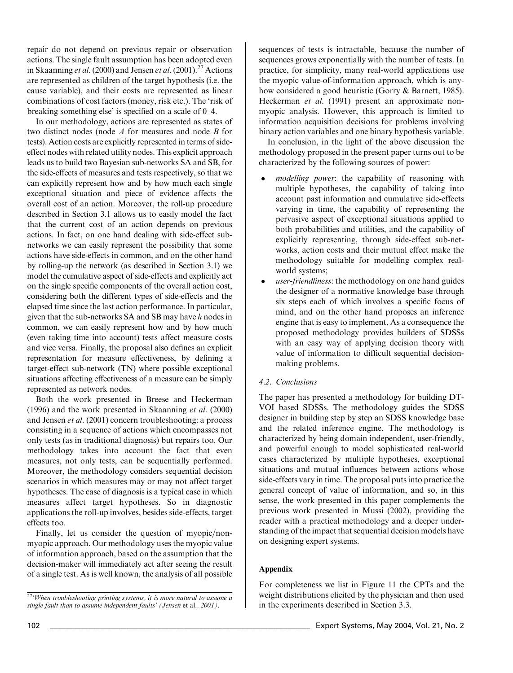repair do not depend on previous repair or observation actions. The single fault assumption has been adopted even in Skaanning *et al.* (2000) and Jensen *et al.* (2001).<sup>27</sup> Actions are represented as children of the target hypothesis (i.e. the cause variable), and their costs are represented as linear combinations of cost factors (money, risk etc.). The 'risk of breaking something else' is specified on a scale of 0–4.

In our methodology, actions are represented as states of two distinct nodes (node A for measures and node B for tests). Action costs are explicitly represented in terms of sideeffect nodes with related utility nodes. This explicit approach leads us to build two Bayesian sub-networks SA and SB, for the side-effects of measures and tests respectively, so that we can explicitly represent how and by how much each single exceptional situation and piece of evidence affects the overall cost of an action. Moreover, the roll-up procedure described in Section 3.1 allows us to easily model the fact that the current cost of an action depends on previous actions. In fact, on one hand dealing with side-effect subnetworks we can easily represent the possibility that some actions have side-effects in common, and on the other hand by rolling-up the network (as described in Section 3.1) we model the cumulative aspect of side-effects and explicitly act on the single specific components of the overall action cost, considering both the different types of side-effects and the elapsed time since the last action performance. In particular, given that the sub-networks SA and SB may have h nodes in common, we can easily represent how and by how much (even taking time into account) tests affect measure costs and vice versa. Finally, the proposal also defines an explicit representation for measure effectiveness, by defining a target-effect sub-network (TN) where possible exceptional situations affecting effectiveness of a measure can be simply represented as network nodes.

Both the work presented in Breese and Heckerman (1996) and the work presented in Skaanning et al. (2000) and Jensen et al. (2001) concern troubleshooting: a process consisting in a sequence of actions which encompasses not only tests (as in traditional diagnosis) but repairs too. Our methodology takes into account the fact that even measures, not only tests, can be sequentially performed. Moreover, the methodology considers sequential decision scenarios in which measures may or may not affect target hypotheses. The case of diagnosis is a typical case in which measures affect target hypotheses. So in diagnostic applications the roll-up involves, besides side-effects, target effects too.

Finally, let us consider the question of myopic/nonmyopic approach. Our methodology uses the myopic value of information approach, based on the assumption that the decision-maker will immediately act after seeing the result of a single test. As is well known, the analysis of all possible sequences of tests is intractable, because the number of sequences grows exponentially with the number of tests. In practice, for simplicity, many real-world applications use the myopic value-of-information approach, which is anyhow considered a good heuristic (Gorry & Barnett, 1985). Heckerman et al. (1991) present an approximate nonmyopic analysis. However, this approach is limited to information acquisition decisions for problems involving binary action variables and one binary hypothesis variable.

In conclusion, in the light of the above discussion the methodology proposed in the present paper turns out to be characterized by the following sources of power:

- modelling power: the capability of reasoning with multiple hypotheses, the capability of taking into account past information and cumulative side-effects varying in time, the capability of representing the pervasive aspect of exceptional situations applied to both probabilities and utilities, and the capability of explicitly representing, through side-effect sub-networks, action costs and their mutual effect make the methodology suitable for modelling complex realworld systems;
- user-friendliness: the methodology on one hand guides the designer of a normative knowledge base through six steps each of which involves a specific focus of mind, and on the other hand proposes an inference engine that is easy to implement. As a consequence the proposed methodology provides builders of SDSSs with an easy way of applying decision theory with value of information to difficult sequential decisionmaking problems.

## 4.2. Conclusions

The paper has presented a methodology for building DT-VOI based SDSSs. The methodology guides the SDSS designer in building step by step an SDSS knowledge base and the related inference engine. The methodology is characterized by being domain independent, user-friendly, and powerful enough to model sophisticated real-world cases characterized by multiple hypotheses, exceptional situations and mutual influences between actions whose side-effects vary in time. The proposal puts into practice the general concept of value of information, and so, in this sense, the work presented in this paper complements the previous work presented in Mussi (2002), providing the reader with a practical methodology and a deeper understanding of the impact that sequential decision models have on designing expert systems.

## Appendix

For completeness we list in Figure 11 the CPTs and the weight distributions elicited by the physician and then used in the experiments described in Section 3.3.

 $27$ 'When troubleshooting printing systems, it is more natural to assume a single fault than to assume independent faults' (Jensen et al., 2001).